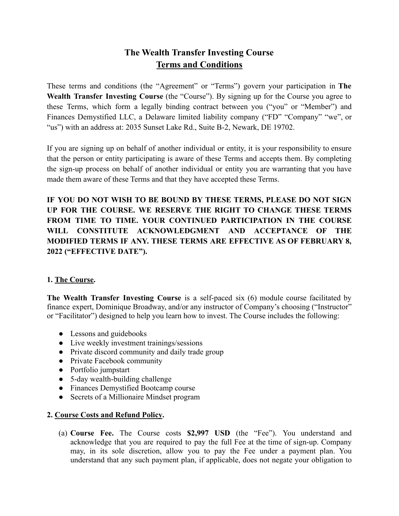# **The Wealth Transfer Investing Course Terms and Conditions**

These terms and conditions (the "Agreement" or "Terms") govern your participation in **The Wealth Transfer Investing Course** (the "Course"). By signing up for the Course you agree to these Terms, which form a legally binding contract between you ("you" or "Member") and Finances Demystified LLC, a Delaware limited liability company ("FD" "Company" "we", or "us") with an address at: 2035 Sunset Lake Rd., Suite B-2, Newark, DE 19702.

If you are signing up on behalf of another individual or entity, it is your responsibility to ensure that the person or entity participating is aware of these Terms and accepts them. By completing the sign-up process on behalf of another individual or entity you are warranting that you have made them aware of these Terms and that they have accepted these Terms.

**IF YOU DO NOT WISH TO BE BOUND BY THESE TERMS, PLEASE DO NOT SIGN UP FOR THE COURSE. WE RESERVE THE RIGHT TO CHANGE THESE TERMS FROM TIME TO TIME. YOUR CONTINUED PARTICIPATION IN THE COURSE WILL CONSTITUTE ACKNOWLEDGMENT AND ACCEPTANCE OF THE MODIFIED TERMS IF ANY. THESE TERMS ARE EFFECTIVE AS OF FEBRUARY 8, 2022 ("EFFECTIVE DATE").**

## **1. The Course.**

**The Wealth Transfer Investing Course** is a self-paced six (6) module course facilitated by finance expert, Dominique Broadway, and/or any instructor of Company's choosing ("Instructor" or "Facilitator") designed to help you learn how to invest. The Course includes the following:

- Lessons and guidebooks
- Live weekly investment trainings/sessions
- Private discord community and daily trade group
- Private Facebook community
- Portfolio jumpstart
- 5-day wealth-building challenge
- Finances Demystified Bootcamp course
- Secrets of a Millionaire Mindset program

#### **2. Course Costs and Refund Policy.**

(a) **Course Fee.** The Course costs **\$2,997 USD** (the "Fee"). You understand and acknowledge that you are required to pay the full Fee at the time of sign-up. Company may, in its sole discretion, allow you to pay the Fee under a payment plan. You understand that any such payment plan, if applicable, does not negate your obligation to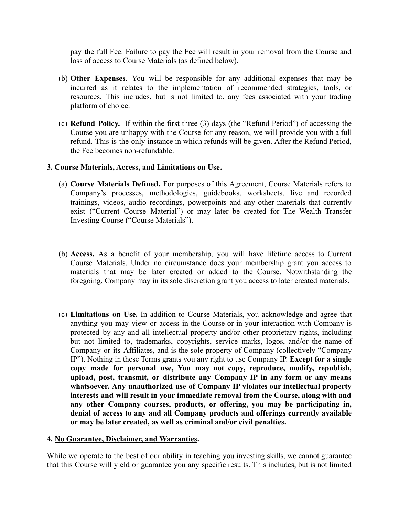pay the full Fee. Failure to pay the Fee will result in your removal from the Course and loss of access to Course Materials (as defined below).

- (b) **Other Expenses**. You will be responsible for any additional expenses that may be incurred as it relates to the implementation of recommended strategies, tools, or resources. This includes, but is not limited to, any fees associated with your trading platform of choice.
- (c) **Refund Policy.** If within the first three (3) days (the "Refund Period") of accessing the Course you are unhappy with the Course for any reason, we will provide you with a full refund. This is the only instance in which refunds will be given. After the Refund Period, the Fee becomes non-refundable.

#### **3. Course Materials, Access, and Limitations on Use.**

- (a) **Course Materials Defined.** For purposes of this Agreement, Course Materials refers to Company's processes, methodologies, guidebooks, worksheets, live and recorded trainings, videos, audio recordings, powerpoints and any other materials that currently exist ("Current Course Material") or may later be created for The Wealth Transfer Investing Course ("Course Materials").
- (b) **Access.** As a benefit of your membership, you will have lifetime access to Current Course Materials. Under no circumstance does your membership grant you access to materials that may be later created or added to the Course. Notwithstanding the foregoing, Company may in its sole discretion grant you access to later created materials.
- (c) **Limitations on Use.** In addition to Course Materials, you acknowledge and agree that anything you may view or access in the Course or in your interaction with Company is protected by any and all intellectual property and/or other proprietary rights, including but not limited to, trademarks, copyrights, service marks, logos, and/or the name of Company or its Affiliates, and is the sole property of Company (collectively "Company IP"). Nothing in these Terms grants you any right to use Company IP. **Except for a single copy made for personal use, You may not copy, reproduce, modify, republish, upload, post, transmit, or distribute any Company IP in any form or any means whatsoever. Any unauthorized use of Company IP violates our intellectual property interests and will result in your immediate removal from the Course, along with and any other Company courses, products, or offering, you may be participating in, denial of access to any and all Company products and offerings currently available or may be later created, as well as criminal and/or civil penalties.**

#### **4. No Guarantee, Disclaimer, and Warranties.**

While we operate to the best of our ability in teaching you investing skills, we cannot guarantee that this Course will yield or guarantee you any specific results. This includes, but is not limited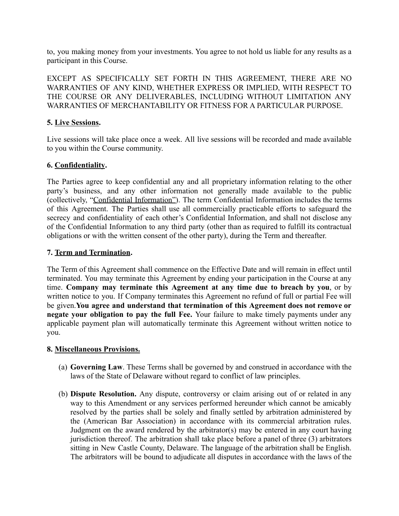to, you making money from your investments. You agree to not hold us liable for any results as a participant in this Course.

EXCEPT AS SPECIFICALLY SET FORTH IN THIS AGREEMENT, THERE ARE NO WARRANTIES OF ANY KIND, WHETHER EXPRESS OR IMPLIED, WITH RESPECT TO THE COURSE OR ANY DELIVERABLES, INCLUDING WITHOUT LIMITATION ANY WARRANTIES OF MERCHANTABILITY OR FITNESS FOR A PARTICULAR PURPOSE.

## **5. Live Sessions.**

Live sessions will take place once a week. All live sessions will be recorded and made available to you within the Course community.

## **6. Confidentiality.**

The Parties agree to keep confidential any and all proprietary information relating to the other party's business, and any other information not generally made available to the public (collectively, "Confidential Information"). The term Confidential Information includes the terms of this Agreement. The Parties shall use all commercially practicable efforts to safeguard the secrecy and confidentiality of each other's Confidential Information, and shall not disclose any of the Confidential Information to any third party (other than as required to fulfill its contractual obligations or with the written consent of the other party), during the Term and thereafter.

## **7. Term and Termination.**

The Term of this Agreement shall commence on the Effective Date and will remain in effect until terminated. You may terminate this Agreement by ending your participation in the Course at any time. **Company may terminate this Agreement at any time due to breach by you**, or by written notice to you. If Company terminates this Agreement no refund of full or partial Fee will be given.**You agree and understand that termination of this Agreement does not remove or negate your obligation to pay the full Fee.** Your failure to make timely payments under any applicable payment plan will automatically terminate this Agreement without written notice to you.

#### **8. Miscellaneous Provisions.**

- (a) **Governing Law**. These Terms shall be governed by and construed in accordance with the laws of the State of Delaware without regard to conflict of law principles.
- (b) **Dispute Resolution.** Any dispute, controversy or claim arising out of or related in any way to this Amendment or any services performed hereunder which cannot be amicably resolved by the parties shall be solely and finally settled by arbitration administered by the (American Bar Association) in accordance with its commercial arbitration rules. Judgment on the award rendered by the arbitrator(s) may be entered in any court having jurisdiction thereof. The arbitration shall take place before a panel of three (3) arbitrators sitting in New Castle County, Delaware. The language of the arbitration shall be English. The arbitrators will be bound to adjudicate all disputes in accordance with the laws of the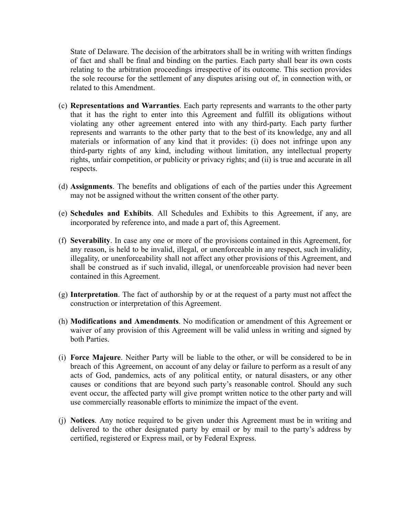State of Delaware. The decision of the arbitrators shall be in writing with written findings of fact and shall be final and binding on the parties. Each party shall bear its own costs relating to the arbitration proceedings irrespective of its outcome. This section provides the sole recourse for the settlement of any disputes arising out of, in connection with, or related to this Amendment.

- (c) **Representations and Warranties**. Each party represents and warrants to the other party that it has the right to enter into this Agreement and fulfill its obligations without violating any other agreement entered into with any third-party. Each party further represents and warrants to the other party that to the best of its knowledge, any and all materials or information of any kind that it provides: (i) does not infringe upon any third-party rights of any kind, including without limitation, any intellectual property rights, unfair competition, or publicity or privacy rights; and (ii) is true and accurate in all respects.
- (d) **Assignments**. The benefits and obligations of each of the parties under this Agreement may not be assigned without the written consent of the other party.
- (e) **Schedules and Exhibits**. All Schedules and Exhibits to this Agreement, if any, are incorporated by reference into, and made a part of, this Agreement.
- (f) **Severability**. In case any one or more of the provisions contained in this Agreement, for any reason, is held to be invalid, illegal, or unenforceable in any respect, such invalidity, illegality, or unenforceability shall not affect any other provisions of this Agreement, and shall be construed as if such invalid, illegal, or unenforceable provision had never been contained in this Agreement.
- (g) **Interpretation**. The fact of authorship by or at the request of a party must not affect the construction or interpretation of this Agreement.
- (h) **Modifications and Amendments**. No modification or amendment of this Agreement or waiver of any provision of this Agreement will be valid unless in writing and signed by both Parties.
- (i) **Force Majeure**. Neither Party will be liable to the other, or will be considered to be in breach of this Agreement, on account of any delay or failure to perform as a result of any acts of God, pandemics, acts of any political entity, or natural disasters, or any other causes or conditions that are beyond such party's reasonable control. Should any such event occur, the affected party will give prompt written notice to the other party and will use commercially reasonable efforts to minimize the impact of the event.
- (j) **Notices**. Any notice required to be given under this Agreement must be in writing and delivered to the other designated party by email or by mail to the party's address by certified, registered or Express mail, or by Federal Express.